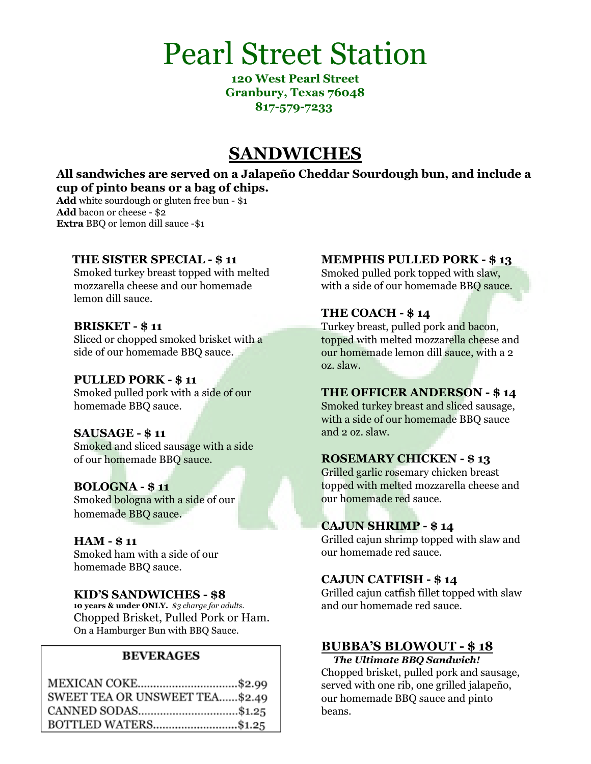# Pearl Street Station

**120 West Pearl Street Granbury, Texas 76048 817-579-7233**

## **SANDWICHES**

**All sandwiches are served on a Jalapeño Cheddar Sourdough bun, and include a cup of pinto beans or a bag of chips.**

**Add** white sourdough or gluten free bun - \$1 **Add** bacon or cheese - \$2 **Extra** BBQ or lemon dill sauce -\$1

#### **THE SISTER SPECIAL - \$ 11**

Smoked turkey breast topped with melted mozzarella cheese and our homemade lemon dill sauce.

#### **BRISKET - \$ 11**

Sliced or chopped smoked brisket with a side of our homemade BBQ sauce.

#### **PULLED PORK - \$ 11**

Smoked pulled pork with a side of our homemade BBQ sauce.

#### **SAUSAGE - \$ 11**

Smoked and sliced sausage with a side of our homemade BBQ sauce.

#### **BOLOGNA - \$ 11**

Smoked bologna with a side of our homemade BBQ sauce.

#### **HAM - \$ 11**

Smoked ham with a side of our homemade BBQ sauce.

#### **KID'S SANDWICHES - \$8**

**10 years & under ONLY.** *\$3 charge for adults.* Chopped Brisket, Pulled Pork or Ham. On a Hamburger Bun with BBQ Sauce.

#### **BEVERAGES**

| MEXICAN COKE\$2.99             |
|--------------------------------|
| SWEET TEA OR UNSWEET TEA\$2.49 |
| CANNED SODAS\$1.25             |
| BOTTLED WATERS\$1.25           |

#### **MEMPHIS PULLED PORK - \$ 13**

Smoked pulled pork topped with slaw, with a side of our homemade BBQ sauce.

#### **THE COACH - \$ 14**

Turkey breast, pulled pork and bacon, topped with melted mozzarella cheese and our homemade lemon dill sauce, with a 2 oz. slaw.

#### **THE OFFICER ANDERSON - \$ 14**

Smoked turkey breast and sliced sausage, with a side of our homemade BBQ sauce and 2 oz. slaw.

### **ROSEMARY CHICKEN - \$ 13**

Grilled garlic rosemary chicken breast topped with melted mozzarella cheese and our homemade red sauce.

### **CAJUN SHRIMP - \$ 14**

Grilled cajun shrimp topped with slaw and our homemade red sauce.

#### **CAJUN CATFISH - \$ 14**

Grilled cajun catfish fillet topped with slaw and our homemade red sauce.

### **BUBBA'S BLOWOUT - \$ 18**

*The Ultimate BBQ Sandwich!* Chopped brisket, pulled pork and sausage, served with one rib, one grilled jalapeño, our homemade BBQ sauce and pinto beans.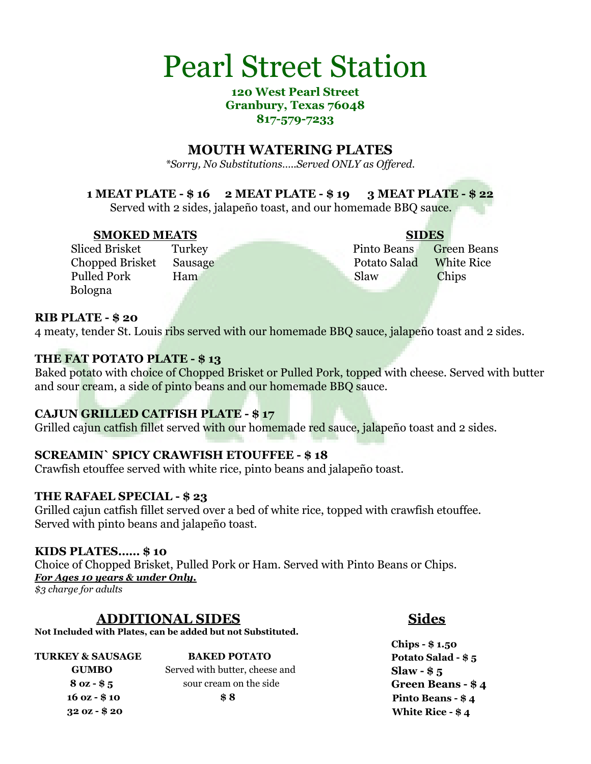# Pearl Street Station

#### **120 West Pearl Street Granbury, Texas 76048 817-579-7233**

### **MOUTH WATERING PLATES**

*\*Sorry, No Substitutions…..Served ONLY as Offered.*

### **1 MEAT PLATE - \$ 16 2 MEAT PLATE - \$ 19 3 MEAT PLATE - \$ 22**

Served with 2 sides, jalapeño toast, and our homemade BBO sauce.

#### **SMOKED MEATS SIDES**

Bologna

Sliced Brisket Turkey Pinto Beans Green Beans **Chopped Brisket Sausage Potato Salad White Rice** Pulled Pork Ham Slaw Chips

#### **RIB PLATE - \$ 20**

4 meaty, tender St. Louis ribs served with our homemade BBQ sauce, jalapeño toast and 2 sides.

### **THE FAT POTATO PLATE - \$ 13**

Baked potato with choice of Chopped Brisket or Pulled Pork, topped with cheese. Served with butter and sour cream, a side of pinto beans and our homemade BBQ sauce.

### **CAJUN GRILLED CATFISH PLATE - \$ 17**

Grilled cajun catfish fillet served with our homemade red sauce, jalapeño toast and 2 sides.

#### **SCREAMIN` SPICY CRAWFISH ETOUFFEE - \$ 18**

Crawfish etouffee served with white rice, pinto beans and jalapeño toast.

#### **THE RAFAEL SPECIAL - \$ 23**

Grilled cajun catfish fillet served over a bed of white rice, topped with crawfish etouffee. Served with pinto beans and jalapeño toast.

#### **KIDS PLATES…… \$ 10**

Choice of Chopped Brisket, Pulled Pork or Ham. Served with Pinto Beans or Chips. *For Ages 10 years & under Only.*

*\$3 charge for adults*

### **ADDITIONAL SIDES Sides**

**Not Included with Plates, can be added but not Substituted.**

| <b>TURKEY &amp; SAUSAGE</b> | <b>BAKED POTATO</b>            | Potato Salad - \$ 5     |
|-----------------------------|--------------------------------|-------------------------|
| <b>GUMBO</b>                | Served with butter, cheese and | Slaw - $$5$             |
| $80z - 85$                  | sour cream on the side         | <b>Green Beans - \$</b> |
| $160z - $10$                | \$8                            | Pinto Beans - \$4       |
| $320z - $20$                |                                | White Rice - \$4        |

**Chips - \$ 1.50 Green Beans - \$ 4 White Rice - \$ 4**